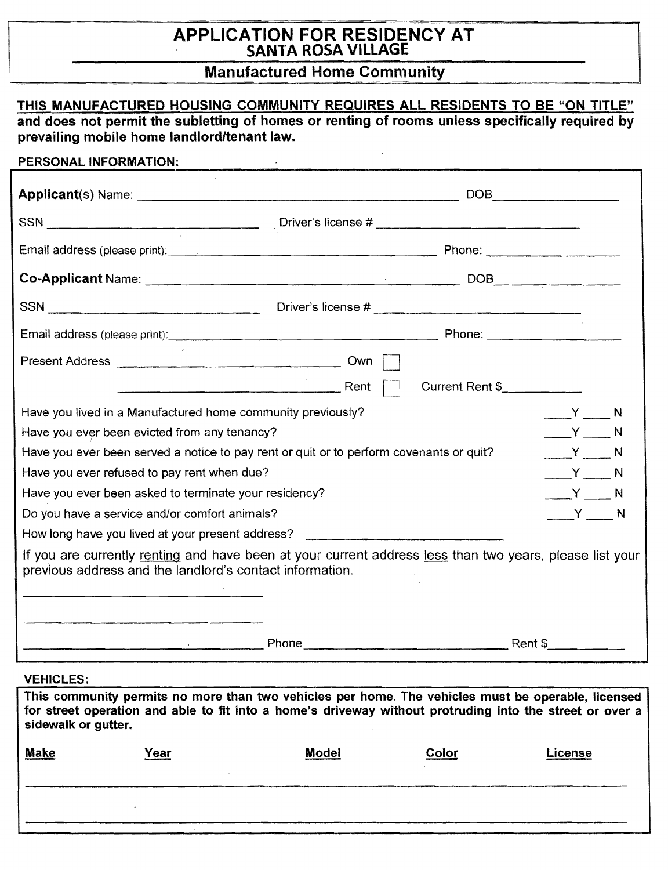# APPLICATION FOR RESIDENCY AT SANTA ROSA VILLAGE

# Manufactured Home Community

|                                                                                         | THIS MANUFACTURED HOUSING COMMUNITY REQUIRES ALL RESIDENTS TO BE "ON TITLE"<br>and does not permit the subletting of homes or renting of rooms unless specifically required by                                                       |                       |
|-----------------------------------------------------------------------------------------|--------------------------------------------------------------------------------------------------------------------------------------------------------------------------------------------------------------------------------------|-----------------------|
| prevailing mobile home landlord/tenant law.                                             |                                                                                                                                                                                                                                      |                       |
| PERSONAL INFORMATION:                                                                   |                                                                                                                                                                                                                                      |                       |
|                                                                                         |                                                                                                                                                                                                                                      |                       |
|                                                                                         |                                                                                                                                                                                                                                      |                       |
|                                                                                         | Email address (please print): <u>contract and contract and contract and contract and contract and contract and contract and contract and contract and contract and contract and contract and contract and contract and contract </u> |                       |
|                                                                                         |                                                                                                                                                                                                                                      |                       |
|                                                                                         |                                                                                                                                                                                                                                      |                       |
|                                                                                         |                                                                                                                                                                                                                                      |                       |
|                                                                                         |                                                                                                                                                                                                                                      |                       |
|                                                                                         | Current Rent \$                                                                                                                                                                                                                      |                       |
| Have you lived in a Manufactured home community previously?                             |                                                                                                                                                                                                                                      | $Y \sim N$            |
| Have you ever been evicted from any tenancy?                                            |                                                                                                                                                                                                                                      | $Y \sim N$            |
| Have you ever been served a notice to pay rent or quit or to perform covenants or quit? |                                                                                                                                                                                                                                      | $Y \sim N$            |
| Have you ever refused to pay rent when due?                                             |                                                                                                                                                                                                                                      | $Y \sim N$            |
| Have you ever been asked to terminate your residency?                                   |                                                                                                                                                                                                                                      | $Y \longrightarrow N$ |
| Do you have a service and/or comfort animals?                                           |                                                                                                                                                                                                                                      | ____Y ____ N          |
| How long have you lived at your present address? _______________________________        |                                                                                                                                                                                                                                      |                       |
| previous address and the landlord's contact information.                                | If you are currently renting and have been at your current address less than two years, please list your                                                                                                                             |                       |
|                                                                                         | Phone Rent \$                                                                                                                                                                                                                        |                       |
| <b>VEHICLES:</b>                                                                        | $\mathbf{a}$ and $\mathbf{a}$ are associated as a set of $\mathbf{a}$<br>$-1$                                                                                                                                                        |                       |

This community permits no more than two vehicles per home. The vehicles must be operable, licensed for street operation and able to fit into a home's driveway without protruding into the street or over a sidewalk or gutter.

| <b>Make</b> | <u>Year</u> | <b>Model</b> | Color | License |
|-------------|-------------|--------------|-------|---------|
|             |             |              |       |         |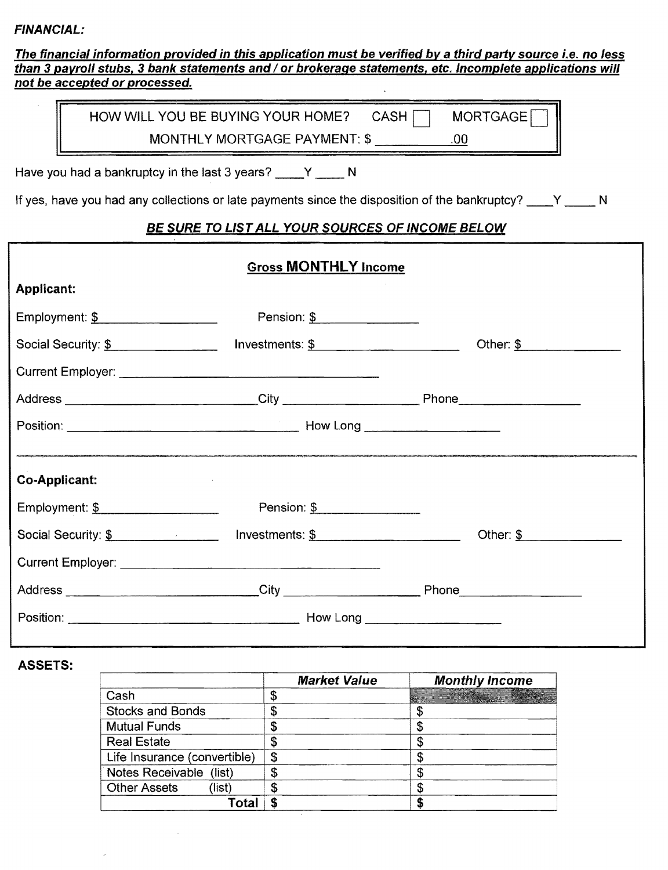#### FINANCIAL:

The financial information provided in this application must be verified by a third party source i.e. no less than 3 payroll stubs, 3 bank statements and / or brokerage statements, etc. Incomplete applications will not be accepted or processed.

| HOW WILL YOU BE BUYING YOUR HOME? CASH | MORTGAGE <sup>1</sup> |
|----------------------------------------|-----------------------|
| MONTHLY MORTGAGE PAYMENT: \$           |                       |

Have you had a bankruptcy in the last 3 years?  $Y$  N

If yes, have you had any collections or late payments since the disposition of the bankruptcy?  $\overline{Y}$  N

#### BE SURE TO LISTALL YOUR SOURCES OF INCOME BELOW

| <b>Gross MONTHLY Income</b>                   |                            |                                          |
|-----------------------------------------------|----------------------------|------------------------------------------|
| <b>Applicant:</b>                             |                            |                                          |
| Employment: \$                                | Pension: \$                |                                          |
| Social Security: \$                           | Investments: $\frac{1}{2}$ | Other: $\frac{\mathcal{S}}{\mathcal{S}}$ |
|                                               |                            |                                          |
|                                               |                            |                                          |
|                                               |                            |                                          |
|                                               |                            |                                          |
| Co-Applicant:                                 |                            |                                          |
| Employment: $\frac{\mathcal{S}}{\mathcal{S}}$ | Pension: \$                |                                          |
|                                               |                            | Other: $\frac{1}{2}$                     |
|                                               |                            |                                          |
|                                               |                            |                                          |
|                                               |                            |                                          |
|                                               |                            |                                          |

#### ASSETS:

|                               | <b>Market Value</b> | <b>Monthly Income</b> |
|-------------------------------|---------------------|-----------------------|
| Cash                          | \$                  | <b>Communication</b>  |
| <b>Stocks and Bonds</b>       | \$                  |                       |
| <b>Mutual Funds</b>           | \$                  |                       |
| <b>Real Estate</b>            | \$                  |                       |
| Life Insurance (convertible)  | \$                  |                       |
| Notes Receivable (list)       | \$                  |                       |
| <b>Other Assets</b><br>(list) | S                   |                       |
| ⊺ota                          |                     |                       |